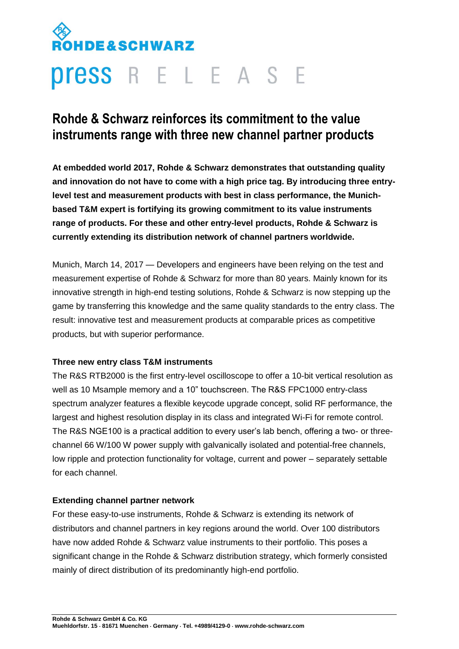# **HDE&SCHWARZ Press** R E L E A S E

# **Rohde & Schwarz reinforces its commitment to the value instruments range with three new channel partner products**

**At embedded world 2017, Rohde & Schwarz demonstrates that outstanding quality and innovation do not have to come with a high price tag. By introducing three entrylevel test and measurement products with best in class performance, the Munichbased T&M expert is fortifying its growing commitment to its value instruments range of products. For these and other entry-level products, Rohde & Schwarz is currently extending its distribution network of channel partners worldwide.**

Munich, March 14, 2017 — Developers and engineers have been relying on the test and measurement expertise of Rohde & Schwarz for more than 80 years. Mainly known for its innovative strength in high-end testing solutions, Rohde & Schwarz is now stepping up the game by transferring this knowledge and the same quality standards to the entry class. The result: innovative test and measurement products at comparable prices as competitive products, but with superior performance.

# **Three new entry class T&M instruments**

The R&S RTB2000 is the first entry-level oscilloscope to offer a 10-bit vertical resolution as well as 10 Msample memory and a 10" touchscreen. The R&S FPC1000 entry-class spectrum analyzer features a flexible keycode upgrade concept, solid RF performance, the largest and highest resolution display in its class and integrated Wi-Fi for remote control. The R&S NGE100 is a practical addition to every user's lab bench, offering a two- or threechannel 66 W/100 W power supply with galvanically isolated and potential-free channels, low ripple and protection functionality for voltage, current and power – separately settable for each channel.

## **Extending channel partner network**

For these easy-to-use instruments, Rohde & Schwarz is extending its network of distributors and channel partners in key regions around the world. Over 100 distributors have now added Rohde & Schwarz value instruments to their portfolio. This poses a significant change in the Rohde & Schwarz distribution strategy, which formerly consisted mainly of direct distribution of its predominantly high-end portfolio.